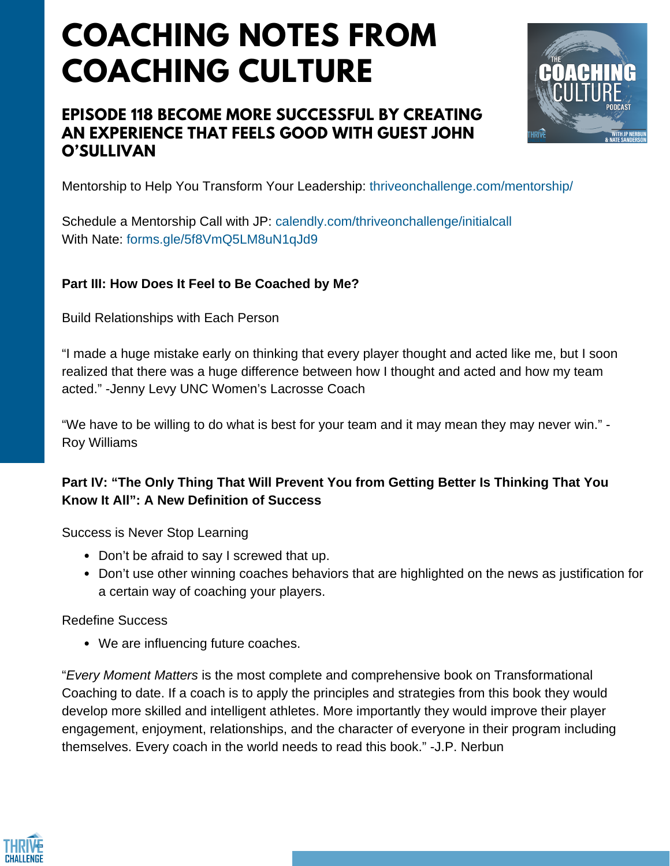# **COACHING NOTES FROM COACHING CULTURE**

## **EPISODE 118 BECOME MORE SUCCESSFUL BY CREATING AN EXPERIENCE THAT FEELS GOOD WITH GUEST JOHN O'SULLIVAN**



Mentorship to Help You Transform Your Leadership: thriveonchallenge.com/mentorship/

Schedule a Mentorship Call with JP: calendly.com/thriveonchallenge/initialcall With Nate: forms.gle/5f8VmO5LM8uN1qJd9

### **Part III: How Does It Feel to Be Coached by Me?**

Build Relationships with Each Person

"I made a huge mistake early on thinking that every player thought and acted like me, but I soon realized that there was a huge difference between how I thought and acted and how my team acted." -Jenny Levy UNC Women's Lacrosse Coach

"We have to be willing to do what is best for your team and it may mean they may never win." - Roy Williams

### **Part IV: "The Only Thing That Will Prevent You from Getting Better Is Thinking That You Know It All": A New Definition of Success**

Success is Never Stop Learning

- Don't be afraid to say I screwed that up.
- Don't use other winning coaches behaviors that are highlighted on the news as justification for a certain way of coaching your players.

Redefine Success

We are influencing future coaches.

"*Every Moment Matters* is the most complete and comprehensive book on Transformational Coaching to date. If a coach is to apply the principles and strategies from this book they would develop more skilled and intelligent athletes. More importantly they would improve their player engagement, enjoyment, relationships, and the character of everyone in their program including themselves. Every coach in the world needs to read this book." -J.P. Nerbun